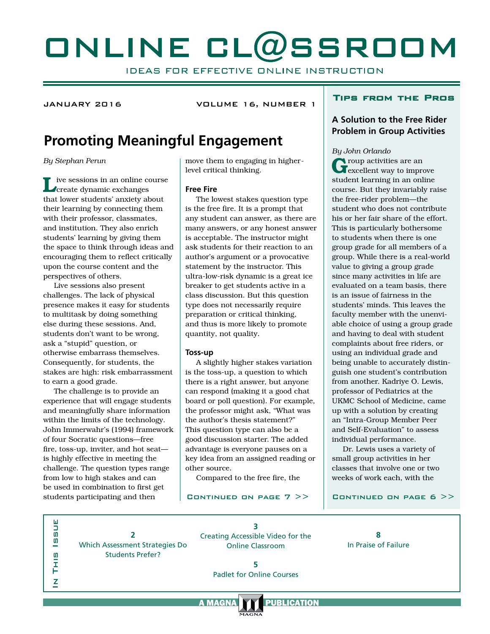# ONLINE CL@SSROOM

**IDEAS FOR EFFECTIVE ONLINE INSTRUCTION** 

#### JANUARY 2016

VOLUME 16, NUMBER 1

# **Promoting Meaningful Engagement**

*By Stephan Perun*

ive sessions in an online course **Create dynamic exchanges** that lower students' anxiety about their learning by connecting them with their professor, classmates, and institution. They also enrich students' learning by giving them the space to think through ideas and encouraging them to reflect critically upon the course content and the perspectives of others.

Live sessions also present challenges. The lack of physical presence makes it easy for students to multitask by doing something else during these sessions. And, students don't want to be wrong, ask a "stupid" question, or otherwise embarrass themselves. Consequently, for students, the stakes are high: risk embarrassment to earn a good grade.

The challenge is to provide an experience that will engage students and meaningfully share information within the limits of the technology. John Immerwahr's (1994) framework of four Socratic questions—free fire, toss-up, inviter, and hot seat is highly effective in meeting the challenge. The question types range from low to high stakes and can be used in combination to first get students participating and then

move them to engaging in higherlevel critical thinking.

#### **Free Fire**

The lowest stakes question type is the free fire. It is a prompt that any student can answer, as there are many answers, or any honest answer is acceptable. The instructor might ask students for their reaction to an author's argument or a provocative statement by the instructor. This ultra-low-risk dynamic is a great ice breaker to get students active in a class discussion. But this question type does not necessarily require preparation or critical thinking, and thus is more likely to promote quantity, not quality.

#### **Toss-up**

A slightly higher stakes variation is the toss-up, a question to which there is a right answer, but anyone can respond (making it a good chat board or poll question). For example, the professor might ask, "What was the author's thesis statement?" This question type can also be a good discussion starter. The added advantage is everyone pauses on a key idea from an assigned reading or other source.

Compared to the free fire, the

CONTINUED ON PAGE  $7$  >> CONTINUED ON PAGE 6 >>

#### **Tips from the Pros**

#### **A Solution to the Free Rider Problem in Group Activities**

*By John Orlando* Group activities are an excellent way to improve student learning in an online course. But they invariably raise the free-rider problem—the student who does not contribute his or her fair share of the effort. This is particularly bothersome to students when there is one group grade for all members of a group. While there is a real-world value to giving a group grade since many activities in life are evaluated on a team basis, there is an issue of fairness in the students' minds. This leaves the faculty member with the unenviable choice of using a group grade and having to deal with student complaints about free riders, or using an individual grade and being unable to accurately distinguish one student's contribution from another. Kadriye O. Lewis, professor of Pediatrics at the UKMC School of Medicine, came up with a solution by creating an "Intra-Group Member Peer and Self-Evaluation" to assess individual performance.

Dr. Lewis uses a variety of small group activities in her classes that involve one or two weeks of work each, with the



A MAGNA **THE PUBLICATION**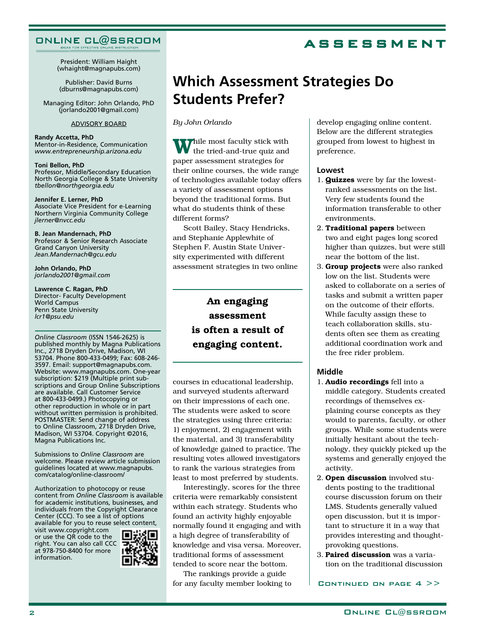#### ONLINE CL $@$ SSROOM **IDEAS FOR EFFECTIVE ONLINE INSTRUCTIO**

## **ASSESSMENT**

President: William Haight (whaight@magnapubs.com)

Publisher: David Burns (dburns@magnapubs.com)

Managing Editor: John Orlando, PhD (jorlando2001@gmail.com)

#### ADVISORY BOARD

#### **Randy Accetta, PhD**

Mentor-in-Residence, Communication *www.entrepreneurship.arizona.edu*

**Toni Bellon, PhD**

Professor, Middle/Secondary Education North Georgia College & State University *tbellon@northgeorgia.edu*

**Jennifer E. Lerner, PhD** Associate Vice President for e-Learning

Northern Virginia Community College *jlerner@nvcc.edu* **B. Jean Mandernach, PhD**

Professor & Senior Research Associate Grand Canyon University *Jean.Mandernach@gcu.edu*

**John Orlando, PhD** *jorlando2001@gmail.com*

**Lawrence C. Ragan, PhD** Director- Faculty Development World Campus Penn State University *lcr1@psu.edu*

*Online Classroom* (ISSN 1546-2625) is published monthly by Magna Publications Inc., 2718 Dryden Drive, Madison, WI 53704. Phone 800-433-0499; Fax: 608-246- 3597. Email: support@magnapubs.com. Website: www.magnapubs.com. One-year subscription: \$219 (Multiple print subscriptions and Group Online Subscriptions are available. Call Customer Service at 800-433-0499.) Photocopying or other reproduction in whole or in part without written permission is prohibited. POSTMASTER: Send change of address to Online Classroom, 2718 Dryden Drive, Madison, WI 53704. Copyright ©2016, Magna Publications Inc.

Submissions to *Online Classroom* are welcome. Please review article submission guidelines located at www.magnapubs. com/catalog/online-classroom/

Authorization to photocopy or reuse content from *Online Classroom* is available for academic institutions, businesses, and individuals from the Copyright Clearance Center (CCC). To see a list of options available for you to reuse select content,

visit www.copyright.com or use the QR code to the right. You can also call CCC at 978-750-8400 for more information.



# **Which Assessment Strategies Do Students Prefer?**

*By John Orlando*

Thile most faculty stick with the tried-and-true quiz and paper assessment strategies for their online courses, the wide range of technologies available today offers a variety of assessment options beyond the traditional forms. But what do students think of these different forms?

Scott Bailey, Stacy Hendricks, and Stephanie Applewhite of Stephen F. Austin State University experimented with different assessment strategies in two online

> An engaging assessment is often a result of engaging content.

courses in educational leadership, and surveyed students afterward on their impressions of each one. The students were asked to score the strategies using three criteria: 1) enjoyment, 2) engagement with the material, and 3) transferability of knowledge gained to practice. The resulting votes allowed investigators to rank the various strategies from least to most preferred by students.

Interestingly, scores for the three criteria were remarkably consistent within each strategy. Students who found an activity highly enjoyable normally found it engaging and with a high degree of transferability of knowledge and visa versa. Moreover, traditional forms of assessment tended to score near the bottom.

The rankings provide a guide for any faculty member looking to develop engaging online content. Below are the different strategies grouped from lowest to highest in preference.

#### **Lowest**

- 1. Quizzes were by far the lowestranked assessments on the list. Very few students found the information transferable to other environments.
- 2. Traditional papers between two and eight pages long scored higher than quizzes, but were still near the bottom of the list.
- 3. Group projects were also ranked low on the list. Students were asked to collaborate on a series of tasks and submit a written paper on the outcome of their efforts. While faculty assign these to teach collaboration skills, students often see them as creating additional coordination work and the free rider problem.

#### **Middle**

- 1. Audio recordings fell into a middle category. Students created recordings of themselves explaining course concepts as they would to parents, faculty, or other groups. While some students were initially hesitant about the technology, they quickly picked up the systems and generally enjoyed the activity.
- 2. Open discussion involved students posting to the traditional course discussion forum on their LMS. Students generally valued open discussion, but it is important to structure it in a way that provides interesting and thoughtprovoking questions.
- 3. Paired discussion was a variation on the traditional discussion

Continued on page 4 >>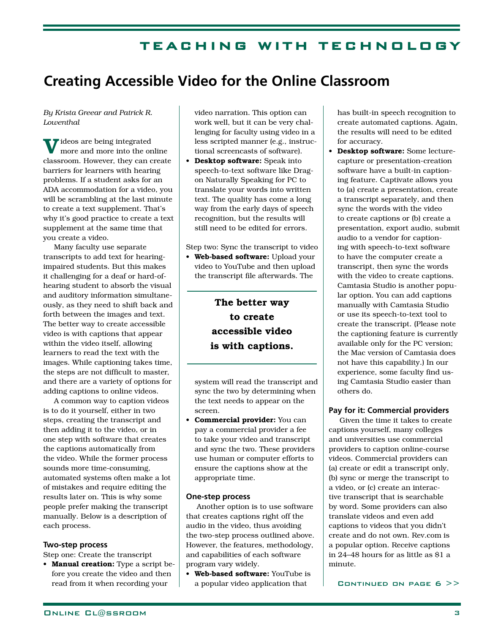## **TEACHING WITH TECHNOLOGY**

# **Creating Accessible Video for the Online Classroom**

*By Krista Greear and Patrick R. Lowenthal*

Videos are being integrated more and more into the online classroom. However, they can create barriers for learners with hearing problems. If a student asks for an ADA accommodation for a video, you will be scrambling at the last minute to create a text supplement. That's why it's good practice to create a text supplement at the same time that you create a video.

Many faculty use separate transcripts to add text for hearingimpaired students. But this makes it challenging for a deaf or hard-ofhearing student to absorb the visual and auditory information simultaneously, as they need to shift back and forth between the images and text. The better way to create accessible video is with captions that appear within the video itself, allowing learners to read the text with the images. While captioning takes time, the steps are not difficult to master, and there are a variety of options for adding captions to online videos.

A common way to caption videos is to do it yourself, either in two steps, creating the transcript and then adding it to the video, or in one step with software that creates the captions automatically from the video. While the former process sounds more time-consuming, automated systems often make a lot of mistakes and require editing the results later on. This is why some people prefer making the transcript manually. Below is a description of each process.

#### **Two-step process**

Step one: Create the transcript

• Manual creation: Type a script before you create the video and then read from it when recording your

video narration. This option can work well, but it can be very challenging for faculty using video in a less scripted manner (e.g., instructional screencasts of software).

• Desktop software: Speak into speech-to-text software like Dragon Naturally Speaking for PC to translate your words into written text. The quality has come a long way from the early days of speech recognition, but the results will still need to be edited for errors.

Step two: Sync the transcript to video • Web-based software: Upload your video to YouTube and then upload the transcript file afterwards. The

> The better way to create accessible video is with captions.

system will read the transcript and sync the two by determining when the text needs to appear on the screen.

• Commercial provider: You can pay a commercial provider a fee to take your video and transcript and sync the two. These providers use human or computer efforts to ensure the captions show at the appropriate time.

#### **One-step process**

Another option is to use software that creates captions right off the audio in the video, thus avoiding the two-step process outlined above. However, the features, methodology, and capabilities of each software program vary widely.

• Web-based software: YouTube is a popular video application that

has built-in speech recognition to create automated captions. Again, the results will need to be edited for accuracy.

• Desktop software: Some lecturecapture or presentation-creation software have a built-in captioning feature. Captivate allows you to (a) create a presentation, create a transcript separately, and then sync the words with the video to create captions or (b) create a presentation, export audio, submit audio to a vendor for captioning with speech-to-text software to have the computer create a transcript, then sync the words with the video to create captions. Camtasia Studio is another popular option. You can add captions manually with Camtasia Studio or use its speech-to-text tool to create the transcript. (Please note the captioning feature is currently available only for the PC version; the Mac version of Camtasia does not have this capability.) In our experience, some faculty find using Camtasia Studio easier than others do.

#### **Pay for it: Commercial providers**

Given the time it takes to create captions yourself, many colleges and universities use commercial providers to caption online-course videos. Commercial providers can (a) create or edit a transcript only, (b) sync or merge the transcript to a video, or (c) create an interactive transcript that is searchable by word. Some providers can also translate videos and even add captions to videos that you didn't create and do not own. Rev.com is a popular option. Receive captions in 24–48 hours for as little as \$1 a minute.

Continued on page 6 >>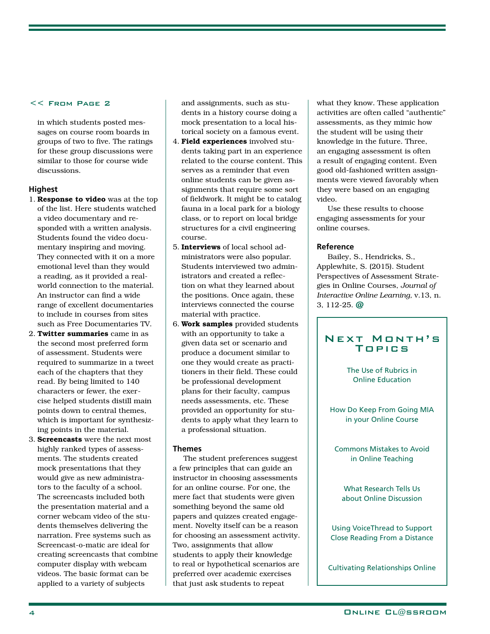#### $<<$  FROM PAGE  $2$

in which students posted messages on course room boards in groups of two to five. The ratings for these group discussions were similar to those for course wide discussions.

#### **Highest**

- 1. Response to video was at the top of the list. Here students watched a video documentary and responded with a written analysis. Students found the video documentary inspiring and moving. They connected with it on a more emotional level than they would a reading, as it provided a realworld connection to the material. An instructor can find a wide range of excellent documentaries to include in courses from sites such as Free Documentaries TV.
- 2. Twitter summaries came in as the second most preferred form of assessment. Students were required to summarize in a tweet each of the chapters that they read. By being limited to 140 characters or fewer, the exercise helped students distill main points down to central themes, which is important for synthesizing points in the material.
- 3. Screencasts were the next most highly ranked types of assessments. The students created mock presentations that they would give as new administrators to the faculty of a school. The screencasts included both the presentation material and a corner webcam video of the students themselves delivering the narration. Free systems such as Screencast-o-matic are ideal for creating screencasts that combine computer display with webcam videos. The basic format can be applied to a variety of subjects

and assignments, such as students in a history course doing a mock presentation to a local historical society on a famous event.

- 4. Field experiences involved students taking part in an experience related to the course content. This serves as a reminder that even online students can be given assignments that require some sort of fieldwork. It might be to catalog fauna in a local park for a biology class, or to report on local bridge structures for a civil engineering course.
- 5. Interviews of local school administrators were also popular. Students interviewed two administrators and created a reflection on what they learned about the positions. Once again, these interviews connected the course material with practice.
- 6. Work samples provided students with an opportunity to take a given data set or scenario and produce a document similar to one they would create as practitioners in their field. These could be professional development plans for their faculty, campus needs assessments, etc. These provided an opportunity for students to apply what they learn to a professional situation.

#### **Themes**

The student preferences suggest a few principles that can guide an instructor in choosing assessments for an online course. For one, the mere fact that students were given something beyond the same old papers and quizzes created engagement. Novelty itself can be a reason for choosing an assessment activity. Two, assignments that allow students to apply their knowledge to real or hypothetical scenarios are preferred over academic exercises that just ask students to repeat

what they know. These application activities are often called "authentic" assessments, as they mimic how the student will be using their knowledge in the future. Three, an engaging assessment is often a result of engaging content. Even good old-fashioned written assignments were viewed favorably when they were based on an engaging video.

Use these results to choose engaging assessments for your online courses.

#### **Reference**

Bailey, S., Hendricks, S., Applewhite, S. (2015). Student Perspectives of Assessment Strategies in Online Courses, *Journal of Interactive Online Learning,* v.13, n. 3, 112-25. **@**



Cultivating Relationships Online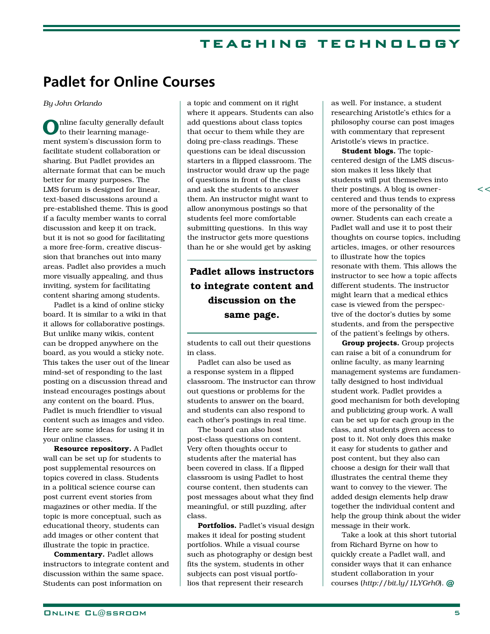## **TEACHING TECHNOLOGY**

# **Padlet for Online Courses**

*By John Orlando*

nline faculty generally default to their learning management system's discussion form to facilitate student collaboration or sharing. But Padlet provides an alternate format that can be much better for many purposes. The LMS forum is designed for linear, text-based discussions around a pre-established theme. This is good if a faculty member wants to corral discussion and keep it on track, but it is not so good for facilitating a more free-form, creative discussion that branches out into many areas. Padlet also provides a much more visually appealing, and thus inviting, system for facilitating content sharing among students.

Padlet is a kind of online sticky board. It is similar to a wiki in that it allows for collaborative postings. But unlike many wikis, content can be dropped anywhere on the board, as you would a sticky note. This takes the user out of the linear mind-set of responding to the last posting on a discussion thread and instead encourages postings about any content on the board. Plus, Padlet is much friendlier to visual content such as images and video. Here are some ideas for using it in your online classes.

Resource repository. A Padlet wall can be set up for students to post supplemental resources on topics covered in class. Students in a political science course can post current event stories from magazines or other media. If the topic is more conceptual, such as educational theory, students can add images or other content that illustrate the topic in practice.

Commentary. Padlet allows instructors to integrate content and discussion within the same space. Students can post information on

a topic and comment on it right where it appears. Students can also add questions about class topics that occur to them while they are doing pre-class readings. These questions can be ideal discussion starters in a flipped classroom. The instructor would draw up the page of questions in front of the class and ask the students to answer them. An instructor might want to allow anonymous postings so that students feel more comfortable submitting questions. In this way the instructor gets more questions than he or she would get by asking

## Padlet allows instructors to integrate content and discussion on the same page.

students to call out their questions in class.

Padlet can also be used as a response system in a flipped classroom. The instructor can throw out questions or problems for the students to answer on the board, and students can also respond to each other's postings in real time.

The board can also host post-class questions on content. Very often thoughts occur to students after the material has been covered in class. If a flipped classroom is using Padlet to host course content, then students can post messages about what they find meaningful, or still puzzling, after class.

Portfolios. Padlet's visual design makes it ideal for posting student portfolios. While a visual course such as photography or design best fits the system, students in other subjects can post visual portfolios that represent their research

as well. For instance, a student researching Aristotle's ethics for a philosophy course can post images with commentary that represent Aristotle's views in practice.

Student blogs. The topiccentered design of the LMS discussion makes it less likely that students will put themselves into their postings. A blog is ownercentered and thus tends to express more of the personality of the owner. Students can each create a Padlet wall and use it to post their thoughts on course topics, including articles, images, or other resources to illustrate how the topics resonate with them. This allows the instructor to see how a topic affects different students. The instructor might learn that a medical ethics case is viewed from the perspective of the doctor's duties by some students, and from the perspective of the patient's feelings by others.

 $<<$ 

Group projects. Group projects can raise a bit of a conundrum for online faculty, as many learning management systems are fundamentally designed to host individual student work. Padlet provides a good mechanism for both developing and publicizing group work. A wall can be set up for each group in the class, and students given access to post to it. Not only does this make it easy for students to gather and post content, but they also can choose a design for their wall that illustrates the central theme they want to convey to the viewer. The added design elements help draw together the individual content and help the group think about the wider message in their work.

Take a look at this short tutorial from Richard Byrne on how to quickly create a Padlet wall, and consider ways that it can enhance student collaboration in your courses (*http://bit.ly/1LYGrh0*). **@**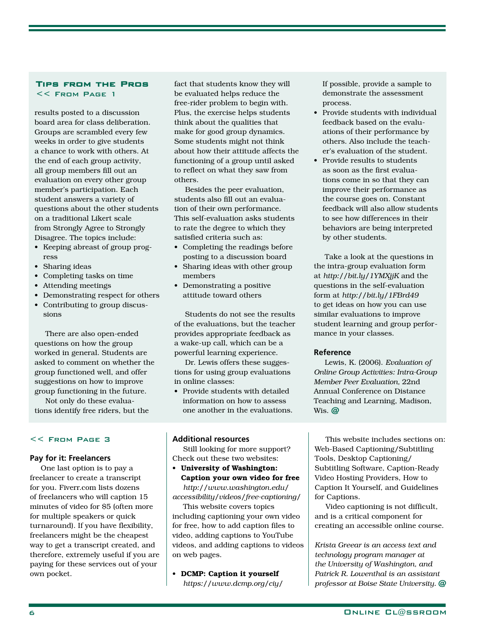#### **Tips from the Pros**  $<<$  FROM PAGE 1

results posted to a discussion board area for class deliberation. Groups are scrambled every few weeks in order to give students a chance to work with others. At the end of each group activity, all group members fill out an evaluation on every other group member's participation. Each student answers a variety of questions about the other students on a traditional Likert scale from Strongly Agree to Strongly Disagree. The topics include:

- Keeping abreast of group progress
- Sharing ideas
- Completing tasks on time
- Attending meetings
- Demonstrating respect for others
- Contributing to group discussions

There are also open-ended questions on how the group worked in general. Students are asked to comment on whether the group functioned well, and offer suggestions on how to improve group functioning in the future.

Not only do these evaluations identify free riders, but the

#### $<<$  FROM PAGE 3

#### **Pay for it: Freelancers**

One last option is to pay a freelancer to create a transcript for you. Fiverr.com lists dozens of freelancers who will caption 15 minutes of video for \$5 (often more for multiple speakers or quick turnaround). If you have flexibility, freelancers might be the cheapest way to get a transcript created, and therefore, extremely useful if you are paying for these services out of your own pocket.

fact that students know they will be evaluated helps reduce the free-rider problem to begin with. Plus, the exercise helps students think about the qualities that make for good group dynamics. Some students might not think about how their attitude affects the functioning of a group until asked to reflect on what they saw from others.

Besides the peer evaluation, students also fill out an evaluation of their own performance. This self-evaluation asks students to rate the degree to which they satisfied criteria such as:

- Completing the readings before posting to a discussion board
- Sharing ideas with other group members
- Demonstrating a positive attitude toward others

Students do not see the results of the evaluations, but the teacher provides appropriate feedback as a wake-up call, which can be a powerful learning experience.

Dr. Lewis offers these suggestions for using group evaluations in online classes:

• Provide students with detailed information on how to assess one another in the evaluations.

#### **Additional resources**

Still looking for more support? Check out these two websites:

• University of Washington: Caption your own video for free *http://www.washington.edu/*

*accessibility/videos/free-captioning/*  This website covers topics including captioning your own video for free, how to add caption files to video, adding captions to YouTube videos, and adding captions to videos on web pages.

• DCMP: Caption it yourself *https://www.dcmp.org/ciy/*  If possible, provide a sample to demonstrate the assessment process.

- Provide students with individual feedback based on the evaluations of their performance by others. Also include the teacher's evaluation of the student.
- Provide results to students as soon as the first evaluations come in so that they can improve their performance as the course goes on. Constant feedback will also allow students to see how differences in their behaviors are being interpreted by other students.

Take a look at the questions in the intra-group evaluation form at *http://bit.ly/1YMXjjK* and the questions in the self-evaluation form at *http://bit.ly/1FBrd49* to get ideas on how you can use similar evaluations to improve student learning and group performance in your classes.

#### **Reference**

Lewis, K. (2006). *Evaluation of Online Group Activities: Intra-Group Member Peer Evaluation,* 22nd Annual Conference on Distance Teaching and Learning, Madison, Wis. **@**

This website includes sections on: Web-Based Captioning/Subtitling Tools, Desktop Captioning/ Subtitling Software, Caption-Ready Video Hosting Providers, How to Caption It Yourself, and Guidelines for Captions.

Video captioning is not difficult, and is a critical component for creating an accessible online course.

*Krista Greear is an access text and technology program manager at the University of Washington, and Patrick R. Lowenthal is an assistant professor at Boise State University.* **@**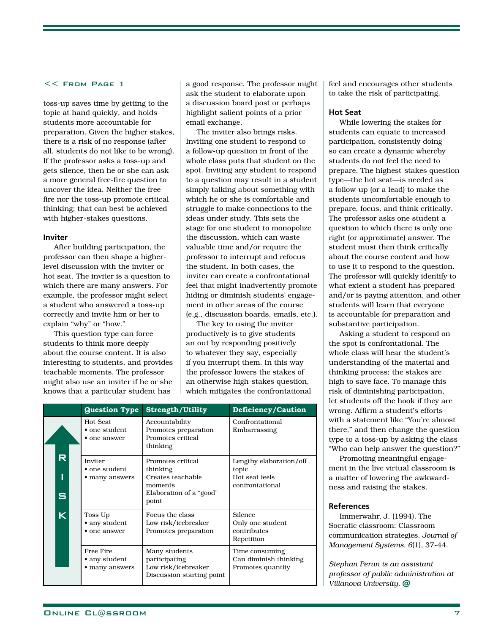#### $<<$  FROM PAGE 1

toss-up saves time by getting to the topic at hand quickly, and holds students more accountable for preparation. Given the higher stakes, there is a risk of no response (after all, students do not like to be wrong). If the professor asks a toss-up and gets silence, then he or she can ask a more general free-fire question to uncover the idea. Neither the free fire nor the toss-up promote critical thinking; that can best be achieved with higher-stakes questions.

#### **Inviter**

After building participation, the professor can then shape a higherlevel discussion with the inviter or hot seat. The inviter is a question to which there are many answers. For example, the professor might select a student who answered a toss-up correctly and invite him or her to explain "why" or "how."

This question type can force students to think more deeply about the course content. It is also interesting to students, and provides teachable moments. The professor might also use an inviter if he or she knows that a particular student has

a good response. The professor might ask the student to elaborate upon a discussion board post or perhaps highlight salient points of a prior email exchange.

The inviter also brings risks. Inviting one student to respond to a follow-up question in front of the whole class puts that student on the spot. Inviting any student to respond to a question may result in a student simply talking about something with which he or she is comfortable and struggle to make connections to the ideas under study. This sets the stage for one student to monopolize the discussion, which can waste valuable time and/or require the professor to interrupt and refocus the student. In both cases, the inviter can create a confrontational feel that might inadvertently promote hiding or diminish students' engagement in other areas of the course (e.g., discussion boards, emails, etc.).

The key to using the inviter productively is to give students an out by responding positively to whatever they say, especially if you interrupt them. In this way the professor lowers the stakes of an otherwise high-stakes question, which mitigates the confrontational

|             | <b>Question Type</b>                               | <b>Strength/Utility</b>                                                                           | Deficiency/Caution                                                    |
|-------------|----------------------------------------------------|---------------------------------------------------------------------------------------------------|-----------------------------------------------------------------------|
| R<br>S<br>K | Hot Seat<br>$\bullet$ one student<br>• one answer  | Accountability<br>Promotes preparation<br>Promotes critical<br>thinking                           | Confrontational<br>Embarrassing                                       |
|             | Inviter<br>$\bullet$ one student<br>• many answers | Promotes critical<br>thinking<br>Creates teachable<br>moments<br>Elaboration of a "good"<br>point | Lengthy elaboration/off<br>topic<br>Hot seat feels<br>confrontational |
|             | Toss Up<br>• any student<br>• one answer           | Focus the class<br>Low risk/icebreaker<br>Promotes preparation                                    | Silence<br>Only one student<br>contributes<br>Repetition              |
|             | Free Fire<br>• any student<br>• many answers       | Many students<br>participating<br>Low risk/icebreaker<br>Discussion starting point                | Time consuming<br>Can diminish thinking<br>Promotes quantity          |

feel and encourages other students to take the risk of participating.

#### **Hot Seat**

While lowering the stakes for students can equate to increased participation, consistently doing so can create a dynamic whereby students do not feel the need to prepare. The highest-stakes question type—the hot seat—is needed as a follow-up (or a lead) to make the students uncomfortable enough to prepare, focus, and think critically. The professor asks one student a question to which there is only one right (or approximate) answer. The student must then think critically about the course content and how to use it to respond to the question. The professor will quickly identify to what extent a student has prepared and/or is paying attention, and other students will learn that everyone is accountable for preparation and substantive participation.

Asking a student to respond on the spot is confrontational. The whole class will hear the student's understanding of the material and thinking process; the stakes are high to save face. To manage this risk of diminishing participation, let students off the hook if they are wrong. Affirm a student's efforts with a statement like "You're almost there," and then change the question type to a toss-up by asking the class "Who can help answer the question?"

Promoting meaningful engagement in the live virtual classroom is a matter of lowering the awkwardness and raising the stakes.

#### **References**

Immerwahr, J. (1994). The Socratic classroom: Classroom communication strategies. *Journal of Management Systems, 6*(1), 37-44.

*Stephan Perun is an assistant professor of public administration at Villanova University.* **@**